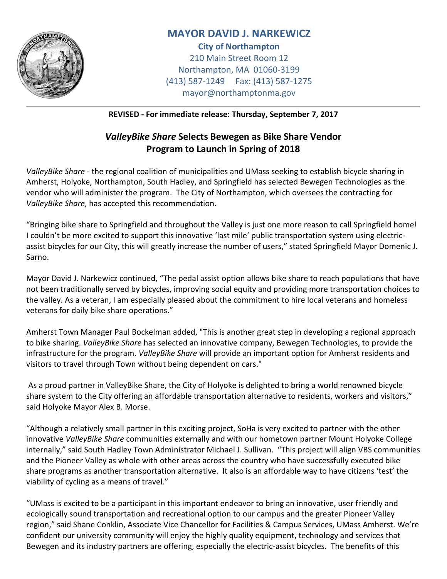

## **MAYOR DAVID J. NARKEWICZ**

**City of Northampton** 210 Main Street Room 12 Northampton, MA 01060-3199 (413) 587-1249 Fax: (413) 587-1275 mayor@northamptonma.gov

**REVISED - For immediate release: Thursday, September 7, 2017**

## *ValleyBike Share* **Selects Bewegen as Bike Share Vendor Program to Launch in Spring of 2018**

*ValleyBike Share* - the regional coalition of municipalities and UMass seeking to establish bicycle sharing in Amherst, Holyoke, Northampton, South Hadley, and Springfield has selected Bewegen Technologies as the vendor who will administer the program. The City of Northampton, which oversees the contracting for *ValleyBike Share*, has accepted this recommendation.

"Bringing bike share to Springfield and throughout the Valley is just one more reason to call Springfield home! I couldn't be more excited to support this innovative 'last mile' public transportation system using electricassist bicycles for our City, this will greatly increase the number of users," stated Springfield Mayor Domenic J. Sarno.

Mayor David J. Narkewicz continued, "The pedal assist option allows bike share to reach populations that have not been traditionally served by bicycles, improving social equity and providing more transportation choices to the valley. As a veteran, I am especially pleased about the commitment to hire local veterans and homeless veterans for daily bike share operations."

Amherst Town Manager Paul Bockelman added, "This is another great step in developing a regional approach to bike sharing. *ValleyBike Share* has selected an innovative company, Bewegen Technologies, to provide the infrastructure for the program. *ValleyBike Share* will provide an important option for Amherst residents and visitors to travel through Town without being dependent on cars."

As a proud partner in ValleyBike Share, the City of Holyoke is delighted to bring a world renowned bicycle share system to the City offering an affordable transportation alternative to residents, workers and visitors," said Holyoke Mayor Alex B. Morse.

"Although a relatively small partner in this exciting project, SoHa is very excited to partner with the other innovative *ValleyBike Share* communities externally and with our hometown partner Mount Holyoke College internally," said South Hadley Town Administrator Michael J. Sullivan. "This project will align VBS communities and the Pioneer Valley as whole with other areas across the country who have successfully executed bike share programs as another transportation alternative. It also is an affordable way to have citizens 'test' the viability of cycling as a means of travel."

"UMass is excited to be a participant in this important endeavor to bring an innovative, user friendly and ecologically sound transportation and recreational option to our campus and the greater Pioneer Valley region," said Shane Conklin, Associate Vice Chancellor for Facilities & Campus Services, UMass Amherst. We're confident our university community will enjoy the highly quality equipment, technology and services that Bewegen and its industry partners are offering, especially the electric-assist bicycles. The benefits of this